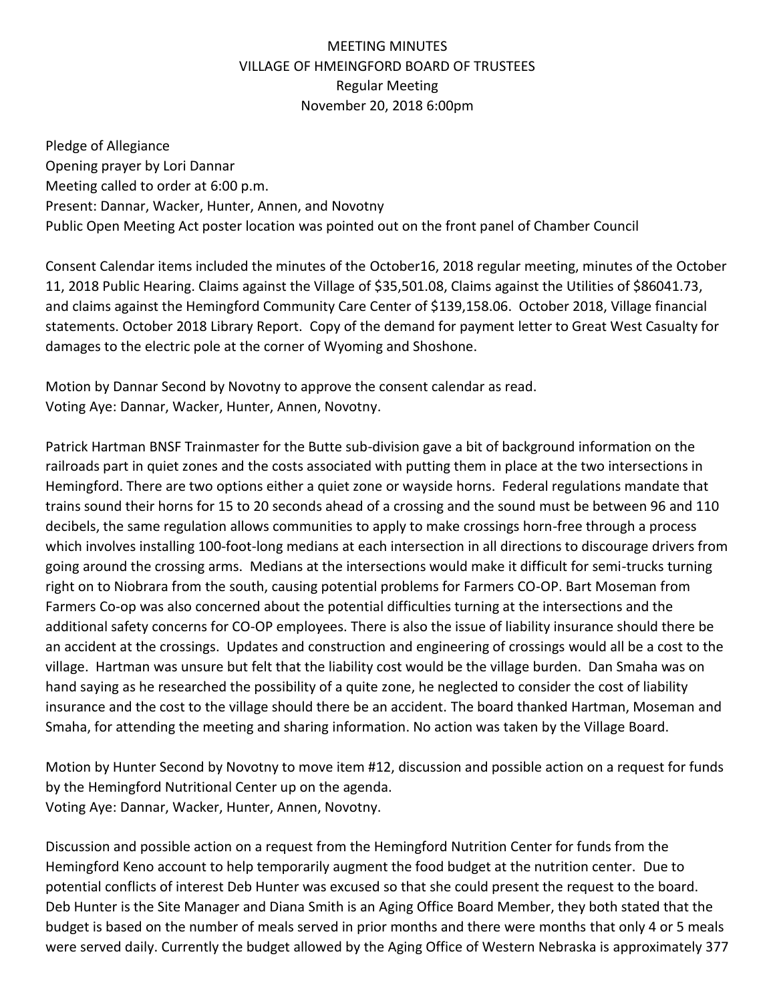## MEETING MINUTES VILLAGE OF HMEINGFORD BOARD OF TRUSTEES Regular Meeting November 20, 2018 6:00pm

Pledge of Allegiance Opening prayer by Lori Dannar Meeting called to order at 6:00 p.m. Present: Dannar, Wacker, Hunter, Annen, and Novotny Public Open Meeting Act poster location was pointed out on the front panel of Chamber Council

Consent Calendar items included the minutes of the October16, 2018 regular meeting, minutes of the October 11, 2018 Public Hearing. Claims against the Village of \$35,501.08, Claims against the Utilities of \$86041.73, and claims against the Hemingford Community Care Center of \$139,158.06. October 2018, Village financial statements. October 2018 Library Report. Copy of the demand for payment letter to Great West Casualty for damages to the electric pole at the corner of Wyoming and Shoshone.

Motion by Dannar Second by Novotny to approve the consent calendar as read. Voting Aye: Dannar, Wacker, Hunter, Annen, Novotny.

Patrick Hartman BNSF Trainmaster for the Butte sub-division gave a bit of background information on the railroads part in quiet zones and the costs associated with putting them in place at the two intersections in Hemingford. There are two options either a quiet zone or wayside horns. Federal regulations mandate that trains sound their horns for 15 to 20 seconds ahead of a crossing and the sound must be between 96 and 110 decibels, the same regulation allows communities to apply to make crossings horn-free through a process which involves installing 100-foot-long medians at each intersection in all directions to discourage drivers from going around the crossing arms. Medians at the intersections would make it difficult for semi-trucks turning right on to Niobrara from the south, causing potential problems for Farmers CO-OP. Bart Moseman from Farmers Co-op was also concerned about the potential difficulties turning at the intersections and the additional safety concerns for CO-OP employees. There is also the issue of liability insurance should there be an accident at the crossings. Updates and construction and engineering of crossings would all be a cost to the village. Hartman was unsure but felt that the liability cost would be the village burden. Dan Smaha was on hand saying as he researched the possibility of a quite zone, he neglected to consider the cost of liability insurance and the cost to the village should there be an accident. The board thanked Hartman, Moseman and Smaha, for attending the meeting and sharing information. No action was taken by the Village Board.

Motion by Hunter Second by Novotny to move item #12, discussion and possible action on a request for funds by the Hemingford Nutritional Center up on the agenda. Voting Aye: Dannar, Wacker, Hunter, Annen, Novotny.

Discussion and possible action on a request from the Hemingford Nutrition Center for funds from the Hemingford Keno account to help temporarily augment the food budget at the nutrition center. Due to potential conflicts of interest Deb Hunter was excused so that she could present the request to the board. Deb Hunter is the Site Manager and Diana Smith is an Aging Office Board Member, they both stated that the budget is based on the number of meals served in prior months and there were months that only 4 or 5 meals were served daily. Currently the budget allowed by the Aging Office of Western Nebraska is approximately 377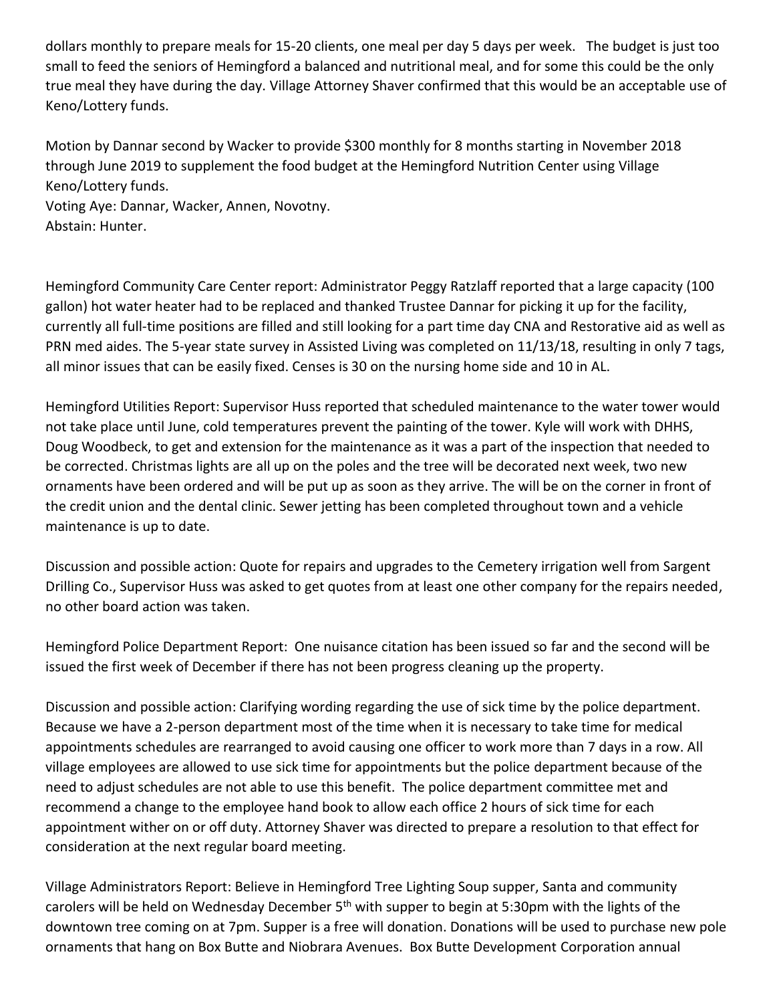dollars monthly to prepare meals for 15-20 clients, one meal per day 5 days per week. The budget is just too small to feed the seniors of Hemingford a balanced and nutritional meal, and for some this could be the only true meal they have during the day. Village Attorney Shaver confirmed that this would be an acceptable use of Keno/Lottery funds.

Motion by Dannar second by Wacker to provide \$300 monthly for 8 months starting in November 2018 through June 2019 to supplement the food budget at the Hemingford Nutrition Center using Village Keno/Lottery funds.

Voting Aye: Dannar, Wacker, Annen, Novotny. Abstain: Hunter.

Hemingford Community Care Center report: Administrator Peggy Ratzlaff reported that a large capacity (100 gallon) hot water heater had to be replaced and thanked Trustee Dannar for picking it up for the facility, currently all full-time positions are filled and still looking for a part time day CNA and Restorative aid as well as PRN med aides. The 5-year state survey in Assisted Living was completed on 11/13/18, resulting in only 7 tags, all minor issues that can be easily fixed. Censes is 30 on the nursing home side and 10 in AL.

Hemingford Utilities Report: Supervisor Huss reported that scheduled maintenance to the water tower would not take place until June, cold temperatures prevent the painting of the tower. Kyle will work with DHHS, Doug Woodbeck, to get and extension for the maintenance as it was a part of the inspection that needed to be corrected. Christmas lights are all up on the poles and the tree will be decorated next week, two new ornaments have been ordered and will be put up as soon as they arrive. The will be on the corner in front of the credit union and the dental clinic. Sewer jetting has been completed throughout town and a vehicle maintenance is up to date.

Discussion and possible action: Quote for repairs and upgrades to the Cemetery irrigation well from Sargent Drilling Co., Supervisor Huss was asked to get quotes from at least one other company for the repairs needed, no other board action was taken.

Hemingford Police Department Report: One nuisance citation has been issued so far and the second will be issued the first week of December if there has not been progress cleaning up the property.

Discussion and possible action: Clarifying wording regarding the use of sick time by the police department. Because we have a 2-person department most of the time when it is necessary to take time for medical appointments schedules are rearranged to avoid causing one officer to work more than 7 days in a row. All village employees are allowed to use sick time for appointments but the police department because of the need to adjust schedules are not able to use this benefit. The police department committee met and recommend a change to the employee hand book to allow each office 2 hours of sick time for each appointment wither on or off duty. Attorney Shaver was directed to prepare a resolution to that effect for consideration at the next regular board meeting.

Village Administrators Report: Believe in Hemingford Tree Lighting Soup supper, Santa and community carolers will be held on Wednesday December 5<sup>th</sup> with supper to begin at 5:30pm with the lights of the downtown tree coming on at 7pm. Supper is a free will donation. Donations will be used to purchase new pole ornaments that hang on Box Butte and Niobrara Avenues. Box Butte Development Corporation annual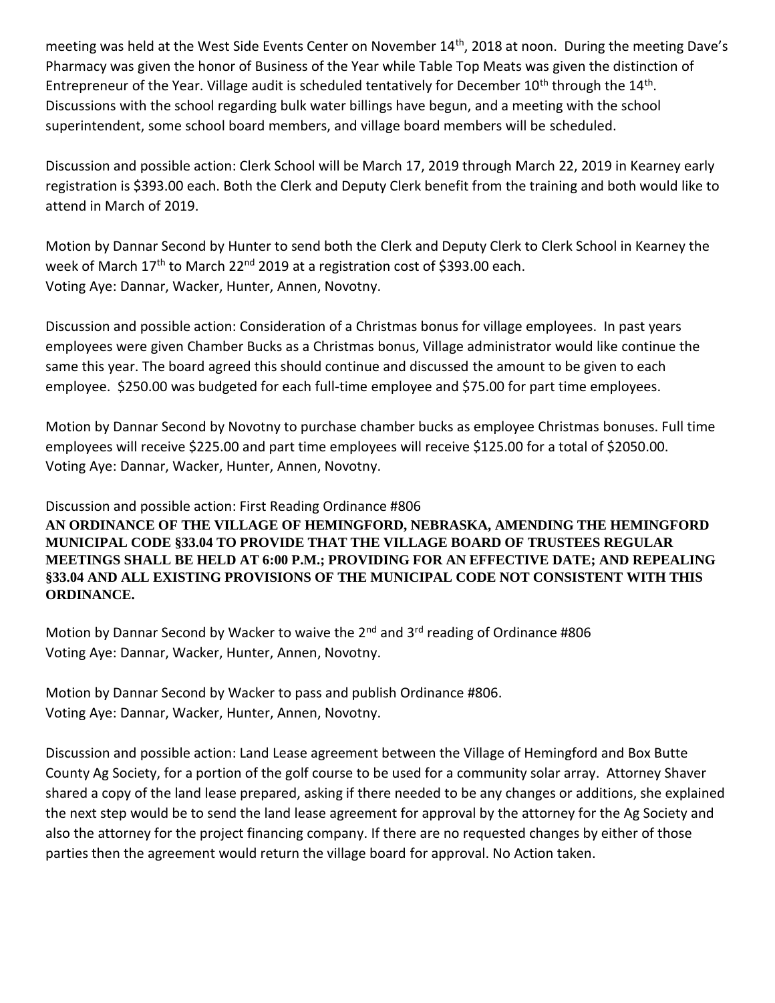meeting was held at the West Side Events Center on November 14<sup>th</sup>, 2018 at noon. During the meeting Dave's Pharmacy was given the honor of Business of the Year while Table Top Meats was given the distinction of Entrepreneur of the Year. Village audit is scheduled tentatively for December 10<sup>th</sup> through the 14<sup>th</sup>. Discussions with the school regarding bulk water billings have begun, and a meeting with the school superintendent, some school board members, and village board members will be scheduled.

Discussion and possible action: Clerk School will be March 17, 2019 through March 22, 2019 in Kearney early registration is \$393.00 each. Both the Clerk and Deputy Clerk benefit from the training and both would like to attend in March of 2019.

Motion by Dannar Second by Hunter to send both the Clerk and Deputy Clerk to Clerk School in Kearney the week of March 17<sup>th</sup> to March 22<sup>nd</sup> 2019 at a registration cost of \$393.00 each. Voting Aye: Dannar, Wacker, Hunter, Annen, Novotny.

Discussion and possible action: Consideration of a Christmas bonus for village employees. In past years employees were given Chamber Bucks as a Christmas bonus, Village administrator would like continue the same this year. The board agreed this should continue and discussed the amount to be given to each employee. \$250.00 was budgeted for each full-time employee and \$75.00 for part time employees.

Motion by Dannar Second by Novotny to purchase chamber bucks as employee Christmas bonuses. Full time employees will receive \$225.00 and part time employees will receive \$125.00 for a total of \$2050.00. Voting Aye: Dannar, Wacker, Hunter, Annen, Novotny.

Discussion and possible action: First Reading Ordinance #806

**AN ORDINANCE OF THE VILLAGE OF HEMINGFORD, NEBRASKA, AMENDING THE HEMINGFORD MUNICIPAL CODE §33.04 TO PROVIDE THAT THE VILLAGE BOARD OF TRUSTEES REGULAR MEETINGS SHALL BE HELD AT 6:00 P.M.; PROVIDING FOR AN EFFECTIVE DATE; AND REPEALING §33.04 AND ALL EXISTING PROVISIONS OF THE MUNICIPAL CODE NOT CONSISTENT WITH THIS ORDINANCE.**

Motion by Dannar Second by Wacker to waive the 2<sup>nd</sup> and 3<sup>rd</sup> reading of Ordinance #806 Voting Aye: Dannar, Wacker, Hunter, Annen, Novotny.

Motion by Dannar Second by Wacker to pass and publish Ordinance #806. Voting Aye: Dannar, Wacker, Hunter, Annen, Novotny.

Discussion and possible action: Land Lease agreement between the Village of Hemingford and Box Butte County Ag Society, for a portion of the golf course to be used for a community solar array. Attorney Shaver shared a copy of the land lease prepared, asking if there needed to be any changes or additions, she explained the next step would be to send the land lease agreement for approval by the attorney for the Ag Society and also the attorney for the project financing company. If there are no requested changes by either of those parties then the agreement would return the village board for approval. No Action taken.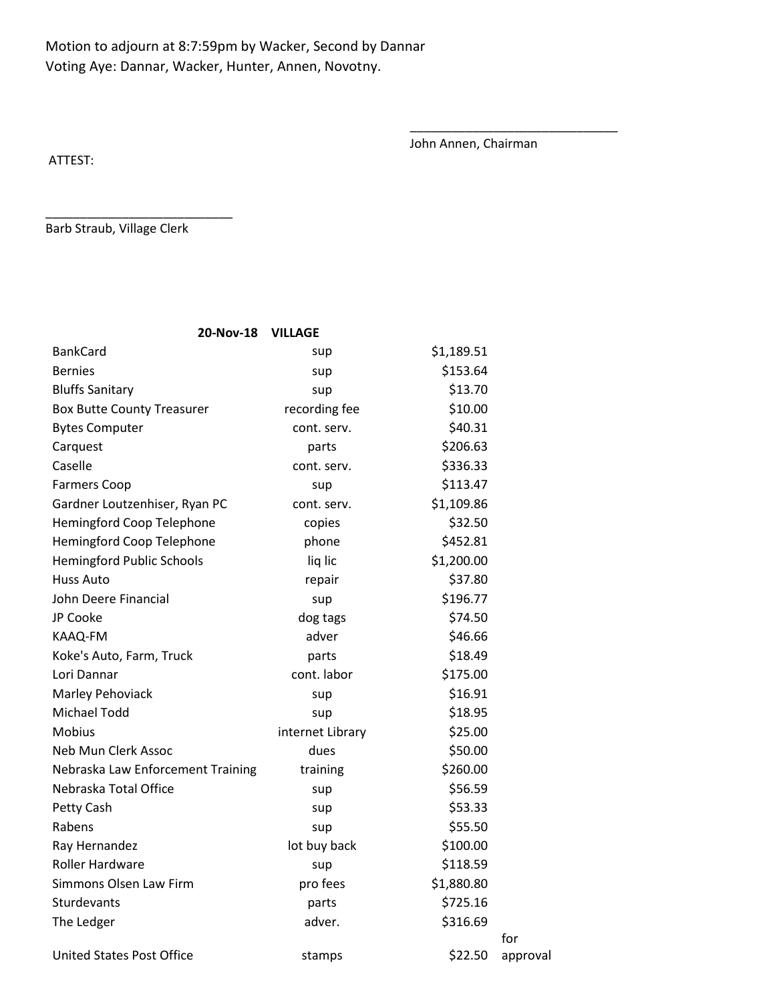## Motion to adjourn at 8:7:59pm by Wacker, Second by Dannar Voting Aye: Dannar, Wacker, Hunter, Annen, Novotny.

John Annen, Chairman

\_\_\_\_\_\_\_\_\_\_\_\_\_\_\_\_\_\_\_\_\_\_\_\_\_\_\_\_\_\_

ATTEST:

Barb Straub, Village Clerk

\_\_\_\_\_\_\_\_\_\_\_\_\_\_\_\_\_\_\_\_\_\_\_\_\_\_\_

| 20-Nov-18<br><b>VILLAGE</b>       |                  |            |                 |
|-----------------------------------|------------------|------------|-----------------|
| <b>BankCard</b>                   | sup              | \$1,189.51 |                 |
| <b>Bernies</b>                    | sup              | \$153.64   |                 |
| <b>Bluffs Sanitary</b>            | sup              | \$13.70    |                 |
| <b>Box Butte County Treasurer</b> | recording fee    | \$10.00    |                 |
| <b>Bytes Computer</b>             | cont. serv.      | \$40.31    |                 |
| Carquest                          | parts            | \$206.63   |                 |
| Caselle                           | cont. serv.      | \$336.33   |                 |
| <b>Farmers Coop</b>               | sup              | \$113.47   |                 |
| Gardner Loutzenhiser, Ryan PC     | cont. serv.      | \$1,109.86 |                 |
| Hemingford Coop Telephone         | copies           | \$32.50    |                 |
| Hemingford Coop Telephone         | phone            | \$452.81   |                 |
| <b>Hemingford Public Schools</b>  | liq lic          | \$1,200.00 |                 |
| Huss Auto                         | repair           | \$37.80    |                 |
| John Deere Financial              | sup              | \$196.77   |                 |
| JP Cooke                          | dog tags         | \$74.50    |                 |
| KAAQ-FM                           | adver            | \$46.66    |                 |
| Koke's Auto, Farm, Truck          | parts            | \$18.49    |                 |
| Lori Dannar                       | cont. labor      | \$175.00   |                 |
| Marley Pehoviack                  | sup              | \$16.91    |                 |
| <b>Michael Todd</b>               | sup              | \$18.95    |                 |
| <b>Mobius</b>                     | internet Library | \$25.00    |                 |
| Neb Mun Clerk Assoc               | dues             | \$50.00    |                 |
| Nebraska Law Enforcement Training | training         | \$260.00   |                 |
| Nebraska Total Office             | sup              | \$56.59    |                 |
| Petty Cash                        | sup              | \$53.33    |                 |
| Rabens                            | sup              | \$55.50    |                 |
| Ray Hernandez                     | lot buy back     | \$100.00   |                 |
| Roller Hardware                   | sup              | \$118.59   |                 |
| Simmons Olsen Law Firm            | pro fees         | \$1,880.80 |                 |
| Sturdevants                       | parts            | \$725.16   |                 |
| The Ledger                        | adver.           | \$316.69   |                 |
| <b>United States Post Office</b>  | stamps           | \$22.50    | for<br>approval |
|                                   |                  |            |                 |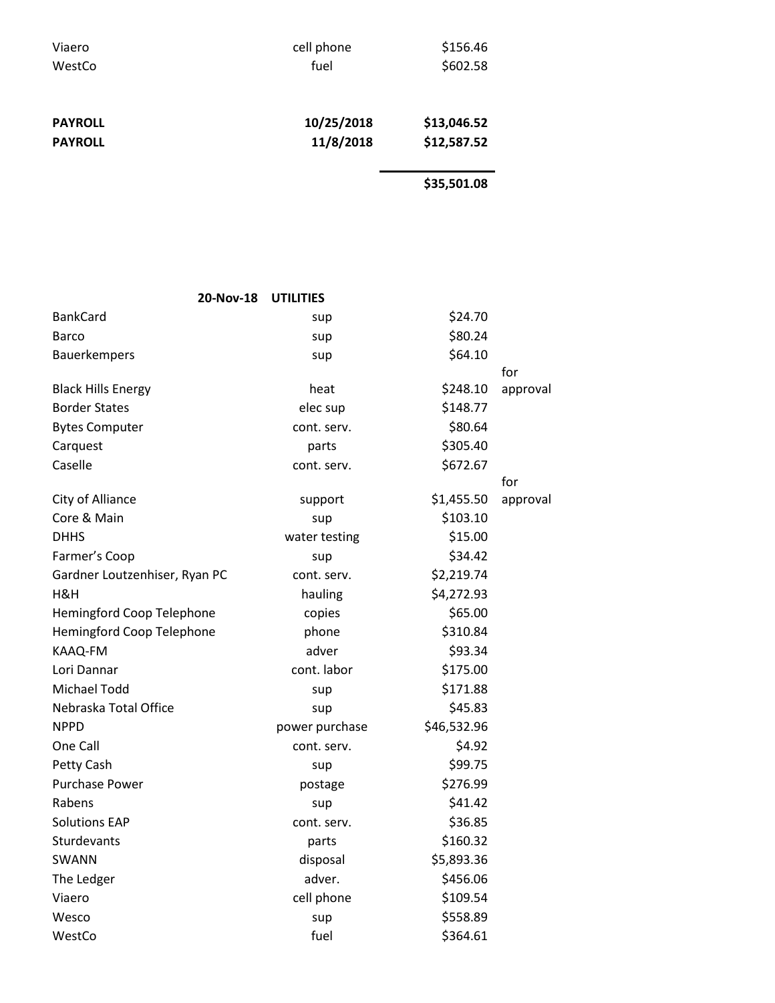| Viaero         | cell phone | \$156.46    |  |
|----------------|------------|-------------|--|
| WestCo         | fuel       | \$602.58    |  |
| <b>PAYROLL</b> | 10/25/2018 | \$13,046.52 |  |
| <b>PAYROLL</b> | 11/8/2018  | \$12,587.52 |  |
|                |            | \$35,501.08 |  |

| 20-Nov-18                        | <b>UTILITIES</b> |             |          |
|----------------------------------|------------------|-------------|----------|
| <b>BankCard</b>                  | sup              | \$24.70     |          |
| Barco                            | sup              | \$80.24     |          |
| Bauerkempers                     | sup              | \$64.10     |          |
|                                  |                  |             | for      |
| <b>Black Hills Energy</b>        | heat             | \$248.10    | approval |
| <b>Border States</b>             | elec sup         | \$148.77    |          |
| <b>Bytes Computer</b>            | cont. serv.      | \$80.64     |          |
| Carquest                         | parts            | \$305.40    |          |
| Caselle                          | cont. serv.      | \$672.67    |          |
|                                  |                  |             | for      |
| City of Alliance                 | support          | \$1,455.50  | approval |
| Core & Main                      | sup              | \$103.10    |          |
| <b>DHHS</b>                      | water testing    | \$15.00     |          |
| Farmer's Coop                    | sup              | \$34.42     |          |
| Gardner Loutzenhiser, Ryan PC    | cont. serv.      | \$2,219.74  |          |
| H&H                              | hauling          | \$4,272.93  |          |
| Hemingford Coop Telephone        | copies           | \$65.00     |          |
| <b>Hemingford Coop Telephone</b> | phone            | \$310.84    |          |
| KAAQ-FM                          | adver            | \$93.34     |          |
| Lori Dannar                      | cont. labor      | \$175.00    |          |
| <b>Michael Todd</b>              | sup              | \$171.88    |          |
| Nebraska Total Office            | sup              | \$45.83     |          |
| <b>NPPD</b>                      | power purchase   | \$46,532.96 |          |
| One Call                         | cont. serv.      | \$4.92      |          |
| Petty Cash                       | sup              | \$99.75     |          |
| <b>Purchase Power</b>            | postage          | \$276.99    |          |
| Rabens                           | sup              | \$41.42     |          |
| <b>Solutions EAP</b>             | cont. serv.      | \$36.85     |          |
| Sturdevants                      | parts            | \$160.32    |          |
| SWANN                            | disposal         | \$5,893.36  |          |
| The Ledger                       | adver.           | \$456.06    |          |
| Viaero                           | cell phone       | \$109.54    |          |
| Wesco                            | sup              | \$558.89    |          |
| WestCo                           | fuel             | \$364.61    |          |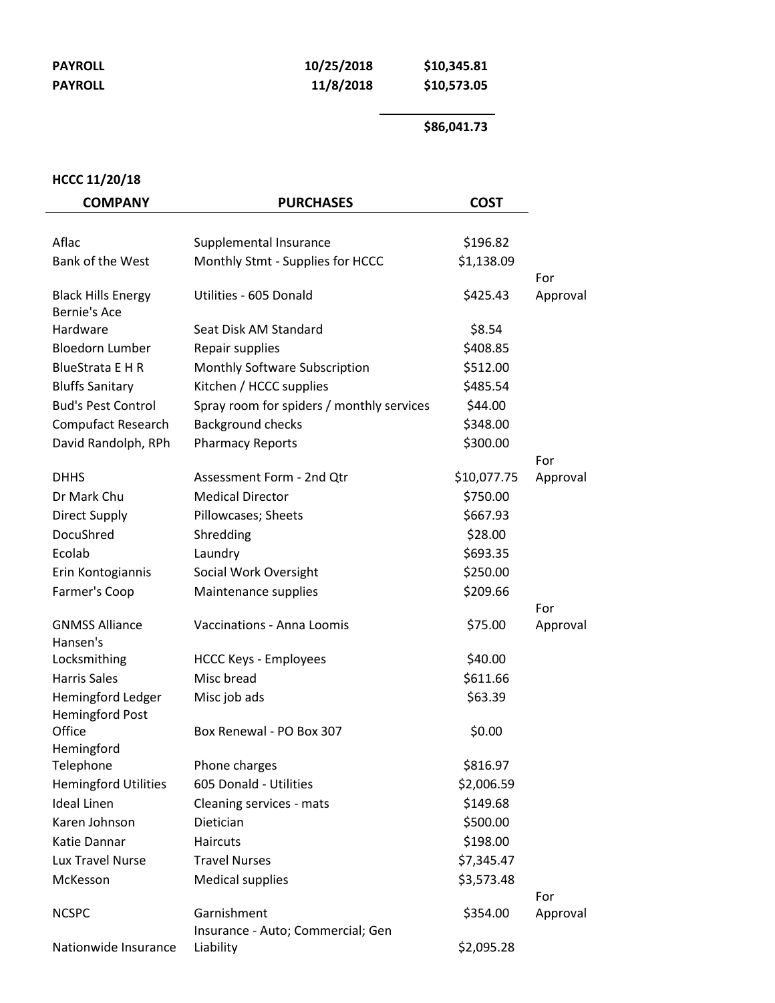| <b>PAYROLL</b> |
|----------------|
| <b>PAYROLL</b> |

| PAYROLL | 10/25/2018 | \$10,345.81 |
|---------|------------|-------------|
| PAYROLL | 11/8/2018  | \$10,573.05 |

## **\$86,041.73**

## **HCCC 11/20/18**

| <b>COMPANY</b>                                   | <b>PURCHASES</b>                               | <b>COST</b> |                 |
|--------------------------------------------------|------------------------------------------------|-------------|-----------------|
| Aflac                                            | Supplemental Insurance                         | \$196.82    |                 |
| Bank of the West                                 | Monthly Stmt - Supplies for HCCC               | \$1,138.09  |                 |
|                                                  |                                                |             | For             |
| <b>Black Hills Energy</b><br><b>Bernie's Ace</b> | Utilities - 605 Donald                         | \$425.43    | Approval        |
| Hardware                                         | Seat Disk AM Standard                          | \$8.54      |                 |
| <b>Bloedorn Lumber</b>                           | Repair supplies                                | \$408.85    |                 |
| <b>BlueStrata E H R</b>                          | Monthly Software Subscription                  | \$512.00    |                 |
| <b>Bluffs Sanitary</b>                           | Kitchen / HCCC supplies                        | \$485.54    |                 |
| <b>Bud's Pest Control</b>                        | Spray room for spiders / monthly services      | \$44.00     |                 |
| Compufact Research                               | <b>Background checks</b>                       | \$348.00    |                 |
| David Randolph, RPh                              | <b>Pharmacy Reports</b>                        | \$300.00    |                 |
|                                                  |                                                |             | For             |
| <b>DHHS</b>                                      | Assessment Form - 2nd Qtr                      | \$10,077.75 | Approval        |
| Dr Mark Chu                                      | <b>Medical Director</b>                        | \$750.00    |                 |
| <b>Direct Supply</b>                             | Pillowcases; Sheets                            | \$667.93    |                 |
| DocuShred                                        | Shredding                                      | \$28.00     |                 |
| Ecolab                                           | Laundry                                        | \$693.35    |                 |
| Erin Kontogiannis                                | Social Work Oversight                          | \$250.00    |                 |
| Farmer's Coop                                    | Maintenance supplies                           | \$209.66    |                 |
| <b>GNMSS Alliance</b><br>Hansen's                | Vaccinations - Anna Loomis                     | \$75.00     | For<br>Approval |
| Locksmithing                                     | <b>HCCC Keys - Employees</b>                   | \$40.00     |                 |
| <b>Harris Sales</b>                              | Misc bread                                     | \$611.66    |                 |
| Hemingford Ledger                                | Misc job ads                                   | \$63.39     |                 |
| <b>Hemingford Post</b><br>Office<br>Hemingford   | Box Renewal - PO Box 307                       | \$0.00      |                 |
| Telephone                                        | Phone charges                                  | \$816.97    |                 |
| <b>Hemingford Utilities</b>                      | 605 Donald - Utilities                         | \$2,006.59  |                 |
| <b>Ideal Linen</b>                               | Cleaning services - mats                       | \$149.68    |                 |
| Karen Johnson                                    | Dietician                                      | \$500.00    |                 |
| Katie Dannar                                     | Haircuts                                       | \$198.00    |                 |
| Lux Travel Nurse                                 | <b>Travel Nurses</b>                           | \$7,345.47  |                 |
| McKesson                                         | <b>Medical supplies</b>                        | \$3,573.48  |                 |
|                                                  |                                                |             | For             |
| <b>NCSPC</b>                                     | Garnishment                                    | \$354.00    | Approval        |
| Nationwide Insurance                             | Insurance - Auto; Commercial; Gen<br>Liability | \$2,095.28  |                 |
|                                                  |                                                |             |                 |